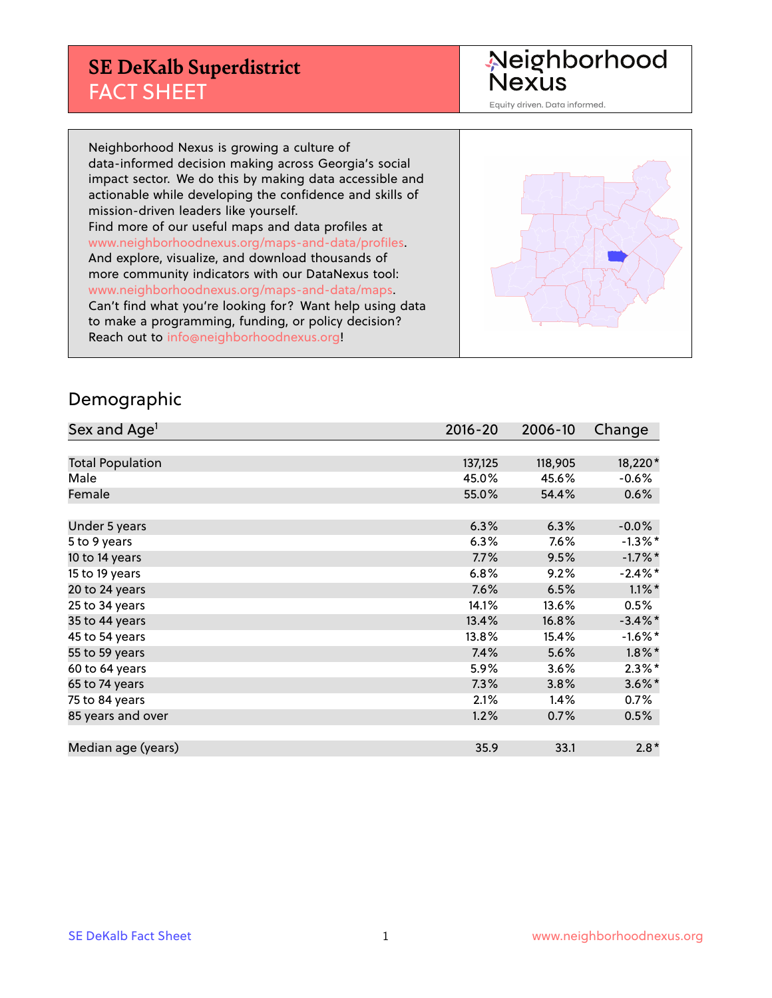### **SE DeKalb Superdistrict** FACT SHEET

Neighborhood<br>Nexus

Equity driven. Data informed.

Neighborhood Nexus is growing a culture of data-informed decision making across Georgia's social impact sector. We do this by making data accessible and actionable while developing the confidence and skills of mission-driven leaders like yourself. Find more of our useful maps and data profiles at www.neighborhoodnexus.org/maps-and-data/profiles. And explore, visualize, and download thousands of more community indicators with our DataNexus tool: www.neighborhoodnexus.org/maps-and-data/maps. Can't find what you're looking for? Want help using data to make a programming, funding, or policy decision? Reach out to [info@neighborhoodnexus.org!](mailto:info@neighborhoodnexus.org)



### Demographic

| Sex and Age <sup>1</sup> | $2016 - 20$ | 2006-10 | Change     |
|--------------------------|-------------|---------|------------|
|                          |             |         |            |
| <b>Total Population</b>  | 137,125     | 118,905 | 18,220*    |
| Male                     | 45.0%       | 45.6%   | $-0.6%$    |
| Female                   | 55.0%       | 54.4%   | 0.6%       |
|                          |             |         |            |
| Under 5 years            | 6.3%        | 6.3%    | $-0.0%$    |
| 5 to 9 years             | 6.3%        | $7.6\%$ | $-1.3\%$ * |
| 10 to 14 years           | 7.7%        | 9.5%    | $-1.7%$ *  |
| 15 to 19 years           | 6.8%        | 9.2%    | $-2.4\%$ * |
| 20 to 24 years           | 7.6%        | 6.5%    | $1.1\%$ *  |
| 25 to 34 years           | 14.1%       | 13.6%   | 0.5%       |
| 35 to 44 years           | 13.4%       | 16.8%   | $-3.4\%$ * |
| 45 to 54 years           | 13.8%       | 15.4%   | $-1.6\%$ * |
| 55 to 59 years           | 7.4%        | 5.6%    | $1.8\%$ *  |
| 60 to 64 years           | 5.9%        | 3.6%    | $2.3\%$ *  |
| 65 to 74 years           | 7.3%        | 3.8%    | $3.6\%$ *  |
| 75 to 84 years           | 2.1%        | 1.4%    | $0.7\%$    |
| 85 years and over        | 1.2%        | 0.7%    | 0.5%       |
|                          |             |         |            |
| Median age (years)       | 35.9        | 33.1    | $2.8*$     |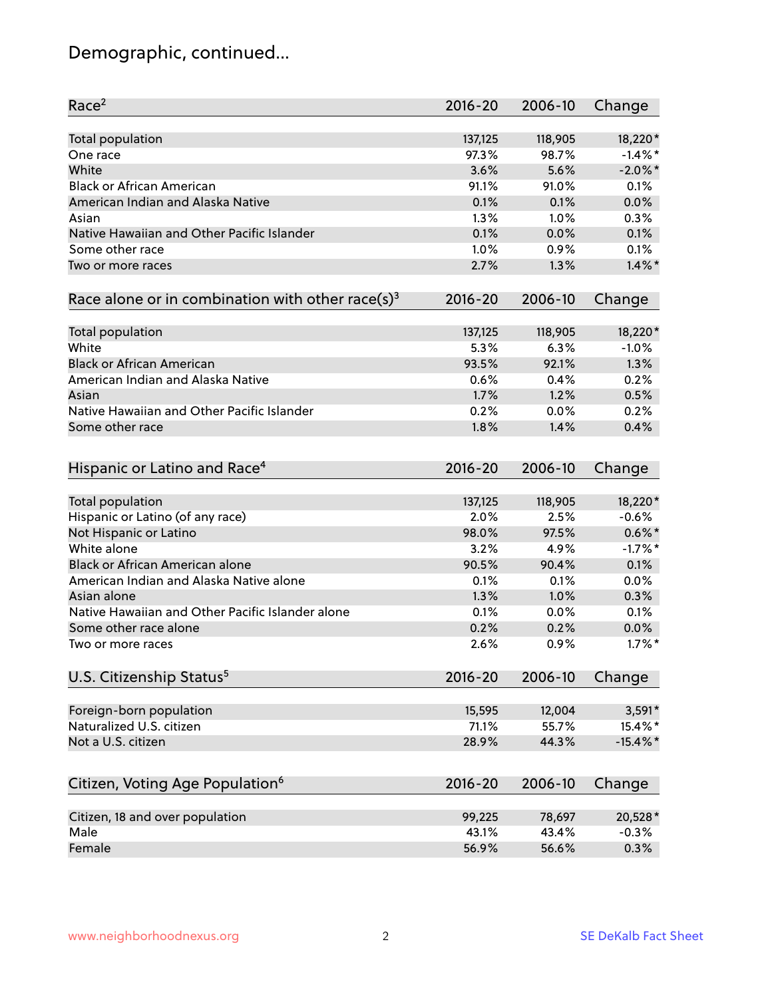# Demographic, continued...

| Race <sup>2</sup>                                            | $2016 - 20$     | 2006-10         | Change      |
|--------------------------------------------------------------|-----------------|-----------------|-------------|
| <b>Total population</b>                                      | 137,125         | 118,905         | 18,220*     |
| One race                                                     | 97.3%           | 98.7%           | $-1.4\%$ *  |
| White                                                        | 3.6%            | 5.6%            | $-2.0\%$ *  |
| <b>Black or African American</b>                             | 91.1%           | 91.0%           | 0.1%        |
| American Indian and Alaska Native                            | 0.1%            | 0.1%            | 0.0%        |
| Asian                                                        | 1.3%            | 1.0%            | 0.3%        |
| Native Hawaiian and Other Pacific Islander                   | 0.1%            | 0.0%            | 0.1%        |
| Some other race                                              | 1.0%            | 0.9%            | 0.1%        |
| Two or more races                                            | 2.7%            | 1.3%            | $1.4\%$ *   |
| Race alone or in combination with other race(s) <sup>3</sup> | $2016 - 20$     | 2006-10         | Change      |
| Total population                                             | 137,125         | 118,905         | 18,220*     |
| White                                                        | 5.3%            | 6.3%            | $-1.0%$     |
| <b>Black or African American</b>                             | 93.5%           | 92.1%           | 1.3%        |
| American Indian and Alaska Native                            | 0.6%            | 0.4%            | 0.2%        |
| Asian                                                        | 1.7%            | 1.2%            | 0.5%        |
| Native Hawaiian and Other Pacific Islander                   | 0.2%            | 0.0%            | 0.2%        |
| Some other race                                              | 1.8%            | 1.4%            | 0.4%        |
|                                                              |                 |                 |             |
| Hispanic or Latino and Race <sup>4</sup>                     | $2016 - 20$     | 2006-10         | Change      |
| Total population                                             | 137,125         | 118,905         | 18,220*     |
| Hispanic or Latino (of any race)                             | 2.0%            | 2.5%            | $-0.6%$     |
| Not Hispanic or Latino                                       | 98.0%           | 97.5%           | $0.6\%$ *   |
| White alone                                                  | 3.2%            | 4.9%            | $-1.7%$ *   |
| <b>Black or African American alone</b>                       | 90.5%           | 90.4%           | 0.1%        |
| American Indian and Alaska Native alone                      | 0.1%            | 0.1%            | 0.0%        |
| Asian alone                                                  | 1.3%            | 1.0%            | 0.3%        |
| Native Hawaiian and Other Pacific Islander alone             | 0.1%            | 0.0%            | 0.1%        |
| Some other race alone                                        | 0.2%            | 0.2%            | 0.0%        |
| Two or more races                                            | 2.6%            | 0.9%            | $1.7\%$ *   |
| U.S. Citizenship Status <sup>5</sup>                         | $2016 - 20$     | 2006-10         | Change      |
|                                                              |                 |                 |             |
| Foreign-born population<br>Naturalized U.S. citizen          | 15,595<br>71.1% | 12,004<br>55.7% | 3,591*      |
| Not a U.S. citizen                                           |                 |                 | 15.4%*      |
|                                                              | 28.9%           | 44.3%           | $-15.4\%$ * |
| Citizen, Voting Age Population <sup>6</sup>                  | 2016-20         | 2006-10         | Change      |
| Citizen, 18 and over population                              | 99,225          | 78,697          | 20,528*     |
| Male                                                         | 43.1%           | 43.4%           | $-0.3%$     |
| Female                                                       | 56.9%           | 56.6%           | 0.3%        |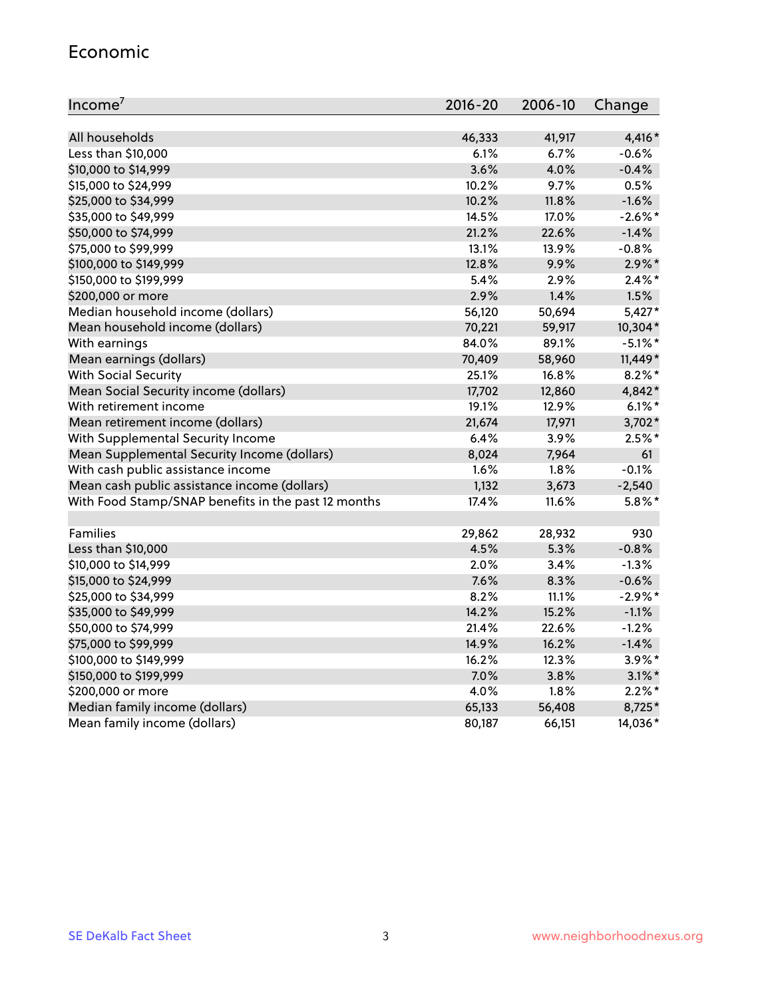### Economic

| Income <sup>7</sup>                                 | $2016 - 20$ | 2006-10 | Change     |
|-----------------------------------------------------|-------------|---------|------------|
|                                                     |             |         |            |
| All households                                      | 46,333      | 41,917  | 4,416*     |
| Less than \$10,000                                  | 6.1%        | 6.7%    | $-0.6%$    |
| \$10,000 to \$14,999                                | 3.6%        | 4.0%    | $-0.4%$    |
| \$15,000 to \$24,999                                | 10.2%       | 9.7%    | 0.5%       |
| \$25,000 to \$34,999                                | 10.2%       | 11.8%   | $-1.6%$    |
| \$35,000 to \$49,999                                | 14.5%       | 17.0%   | $-2.6\%$ * |
| \$50,000 to \$74,999                                | 21.2%       | 22.6%   | $-1.4%$    |
| \$75,000 to \$99,999                                | 13.1%       | 13.9%   | $-0.8%$    |
| \$100,000 to \$149,999                              | 12.8%       | 9.9%    | $2.9\%$ *  |
| \$150,000 to \$199,999                              | 5.4%        | 2.9%    | $2.4\%$ *  |
| \$200,000 or more                                   | 2.9%        | 1.4%    | 1.5%       |
| Median household income (dollars)                   | 56,120      | 50,694  | $5,427*$   |
| Mean household income (dollars)                     | 70,221      | 59,917  | 10,304*    |
| With earnings                                       | 84.0%       | 89.1%   | $-5.1\%$ * |
| Mean earnings (dollars)                             | 70,409      | 58,960  | 11,449*    |
| <b>With Social Security</b>                         | 25.1%       | 16.8%   | $8.2\%$ *  |
| Mean Social Security income (dollars)               | 17,702      | 12,860  | 4,842*     |
| With retirement income                              | 19.1%       | 12.9%   | $6.1\%$ *  |
| Mean retirement income (dollars)                    | 21,674      | 17,971  | $3,702*$   |
| With Supplemental Security Income                   | 6.4%        | 3.9%    | $2.5%$ *   |
| Mean Supplemental Security Income (dollars)         | 8,024       | 7,964   | 61         |
| With cash public assistance income                  | 1.6%        | 1.8%    | $-0.1%$    |
| Mean cash public assistance income (dollars)        | 1,132       | 3,673   | $-2,540$   |
| With Food Stamp/SNAP benefits in the past 12 months | 17.4%       | 11.6%   | $5.8\%$ *  |
|                                                     |             |         |            |
| Families                                            | 29,862      | 28,932  | 930        |
| Less than \$10,000                                  | 4.5%        | 5.3%    | $-0.8%$    |
| \$10,000 to \$14,999                                | 2.0%        | 3.4%    | $-1.3%$    |
| \$15,000 to \$24,999                                | 7.6%        | 8.3%    | $-0.6%$    |
| \$25,000 to \$34,999                                | 8.2%        | 11.1%   | $-2.9%$ *  |
| \$35,000 to \$49,999                                | 14.2%       | 15.2%   | $-1.1%$    |
| \$50,000 to \$74,999                                | 21.4%       | 22.6%   | $-1.2%$    |
| \$75,000 to \$99,999                                | 14.9%       | 16.2%   | $-1.4%$    |
| \$100,000 to \$149,999                              | 16.2%       | 12.3%   | $3.9\%$ *  |
| \$150,000 to \$199,999                              | 7.0%        | 3.8%    | $3.1\%$ *  |
| \$200,000 or more                                   | 4.0%        | 1.8%    | $2.2\%$ *  |
| Median family income (dollars)                      | 65,133      | 56,408  | 8,725*     |
| Mean family income (dollars)                        | 80,187      | 66,151  | 14,036*    |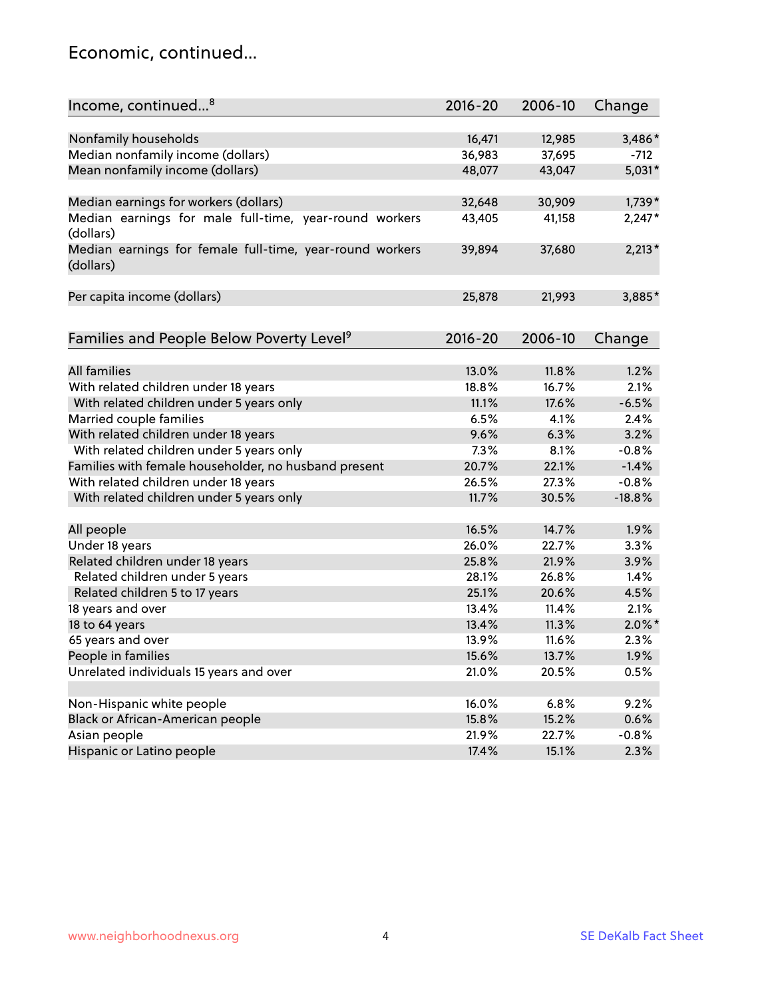### Economic, continued...

| Income, continued <sup>8</sup>                                        | $2016 - 20$ | 2006-10 | Change    |
|-----------------------------------------------------------------------|-------------|---------|-----------|
|                                                                       |             |         |           |
| Nonfamily households                                                  | 16,471      | 12,985  | 3,486*    |
| Median nonfamily income (dollars)                                     | 36,983      | 37,695  | $-712$    |
| Mean nonfamily income (dollars)                                       | 48,077      | 43,047  | $5,031*$  |
| Median earnings for workers (dollars)                                 | 32,648      | 30,909  | 1,739*    |
| Median earnings for male full-time, year-round workers                | 43,405      | 41,158  | $2,247*$  |
| (dollars)                                                             |             |         |           |
| Median earnings for female full-time, year-round workers<br>(dollars) | 39,894      | 37,680  | $2,213*$  |
| Per capita income (dollars)                                           | 25,878      | 21,993  | 3,885*    |
|                                                                       |             |         |           |
| Families and People Below Poverty Level <sup>9</sup>                  | $2016 - 20$ | 2006-10 | Change    |
|                                                                       |             |         |           |
| <b>All families</b>                                                   | 13.0%       | 11.8%   | 1.2%      |
| With related children under 18 years                                  | 18.8%       | 16.7%   | 2.1%      |
| With related children under 5 years only                              | 11.1%       | 17.6%   | $-6.5%$   |
| Married couple families                                               | 6.5%        | 4.1%    | 2.4%      |
| With related children under 18 years                                  | 9.6%        | 6.3%    | 3.2%      |
| With related children under 5 years only                              | 7.3%        | 8.1%    | $-0.8%$   |
| Families with female householder, no husband present                  | 20.7%       | 22.1%   | $-1.4%$   |
| With related children under 18 years                                  | 26.5%       | 27.3%   | $-0.8%$   |
| With related children under 5 years only                              | 11.7%       | 30.5%   | $-18.8%$  |
| All people                                                            | 16.5%       | 14.7%   | 1.9%      |
| Under 18 years                                                        | 26.0%       | 22.7%   | 3.3%      |
| Related children under 18 years                                       | 25.8%       | 21.9%   | 3.9%      |
| Related children under 5 years                                        | 28.1%       | 26.8%   | 1.4%      |
| Related children 5 to 17 years                                        | 25.1%       | 20.6%   | 4.5%      |
| 18 years and over                                                     | 13.4%       | 11.4%   | 2.1%      |
| 18 to 64 years                                                        | 13.4%       | 11.3%   | $2.0\%$ * |
| 65 years and over                                                     | 13.9%       | 11.6%   | 2.3%      |
| People in families                                                    | 15.6%       | 13.7%   | 1.9%      |
| Unrelated individuals 15 years and over                               | 21.0%       | 20.5%   | 0.5%      |
|                                                                       |             |         |           |
| Non-Hispanic white people                                             | 16.0%       | 6.8%    | 9.2%      |
| Black or African-American people                                      | 15.8%       | 15.2%   | 0.6%      |
| Asian people                                                          | 21.9%       | 22.7%   | $-0.8%$   |
| Hispanic or Latino people                                             | 17.4%       | 15.1%   | 2.3%      |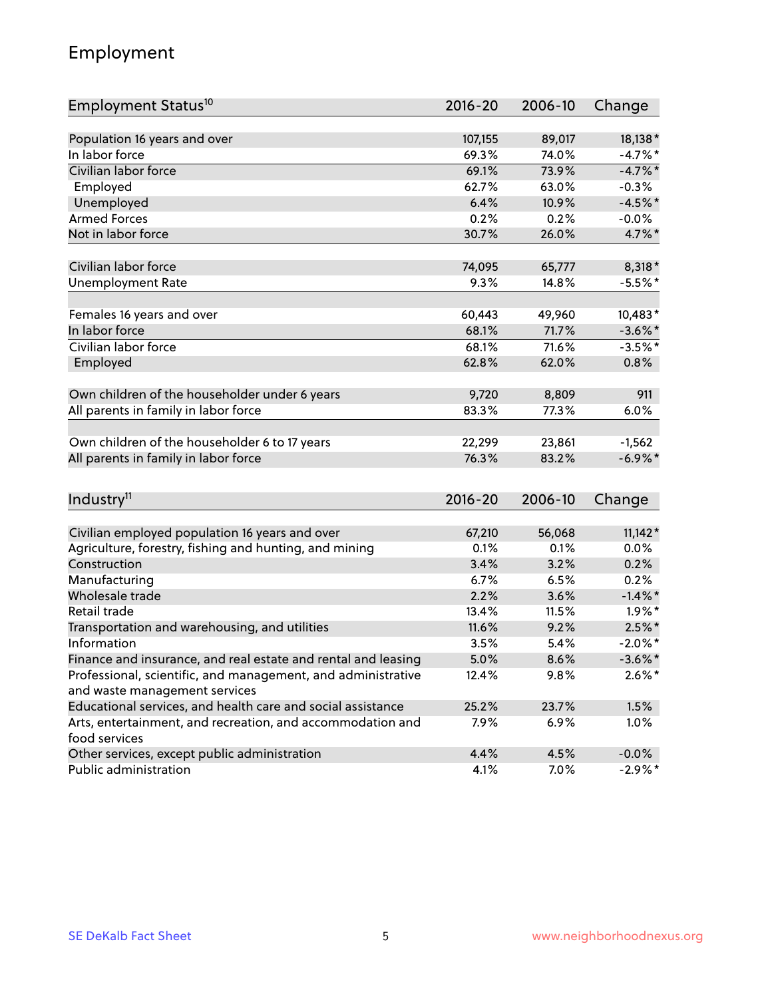## Employment

| Employment Status <sup>10</sup>                                        | $2016 - 20$    | 2006-10      | Change       |
|------------------------------------------------------------------------|----------------|--------------|--------------|
|                                                                        |                |              |              |
| Population 16 years and over                                           | 107,155        | 89,017       | 18,138*      |
| In labor force                                                         | 69.3%          | 74.0%        | $-4.7%$ *    |
| Civilian labor force                                                   | 69.1%          | 73.9%        | $-4.7\%$ *   |
| Employed                                                               | 62.7%          | 63.0%        | $-0.3%$      |
| Unemployed                                                             | 6.4%           | 10.9%        | $-4.5%$ *    |
| <b>Armed Forces</b>                                                    | 0.2%           | 0.2%         | $-0.0%$      |
| Not in labor force                                                     | 30.7%          | 26.0%        | 4.7%*        |
| Civilian labor force                                                   | 74,095         | 65,777       | 8,318*       |
| <b>Unemployment Rate</b>                                               | 9.3%           | 14.8%        | $-5.5%$ *    |
|                                                                        |                |              |              |
| Females 16 years and over                                              | 60,443         | 49,960       | 10,483*      |
| In labor force                                                         | 68.1%          | 71.7%        | $-3.6\%$ *   |
| Civilian labor force                                                   | 68.1%          | 71.6%        | $-3.5%$ *    |
| Employed                                                               | 62.8%          | 62.0%        | 0.8%         |
| Own children of the householder under 6 years                          | 9,720          | 8,809        | 911          |
| All parents in family in labor force                                   | 83.3%          | 77.3%        | 6.0%         |
|                                                                        |                |              |              |
| Own children of the householder 6 to 17 years                          | 22,299         | 23,861       | $-1,562$     |
| All parents in family in labor force                                   | 76.3%          | 83.2%        | $-6.9\%$ *   |
|                                                                        |                |              |              |
| Industry <sup>11</sup>                                                 | $2016 - 20$    | 2006-10      | Change       |
|                                                                        |                | 56,068       | $11,142*$    |
| Civilian employed population 16 years and over                         | 67,210<br>0.1% |              |              |
| Agriculture, forestry, fishing and hunting, and mining<br>Construction | 3.4%           | 0.1%<br>3.2% | 0.0%<br>0.2% |
| Manufacturing                                                          | 6.7%           | 6.5%         | 0.2%         |
| Wholesale trade                                                        | 2.2%           | 3.6%         | $-1.4\%$ *   |
| Retail trade                                                           | 13.4%          | 11.5%        | $1.9\%$ *    |
| Transportation and warehousing, and utilities                          | 11.6%          | 9.2%         | $2.5\%$ *    |
| Information                                                            | 3.5%           | 5.4%         | $-2.0\%$ *   |
| Finance and insurance, and real estate and rental and leasing          | 5.0%           | 8.6%         | $-3.6\%$ *   |
| Professional, scientific, and management, and administrative           | 12.4%          | 9.8%         | $2.6\%*$     |
| and waste management services                                          |                |              |              |
| Educational services, and health care and social assistance            | 25.2%          | 23.7%        | 1.5%         |
| Arts, entertainment, and recreation, and accommodation and             | 7.9%           | 6.9%         | 1.0%         |
| food services                                                          |                |              |              |
| Other services, except public administration                           | 4.4%           | 4.5%         | $-0.0%$      |
| Public administration                                                  | 4.1%           | 7.0%         | $-2.9\%$ *   |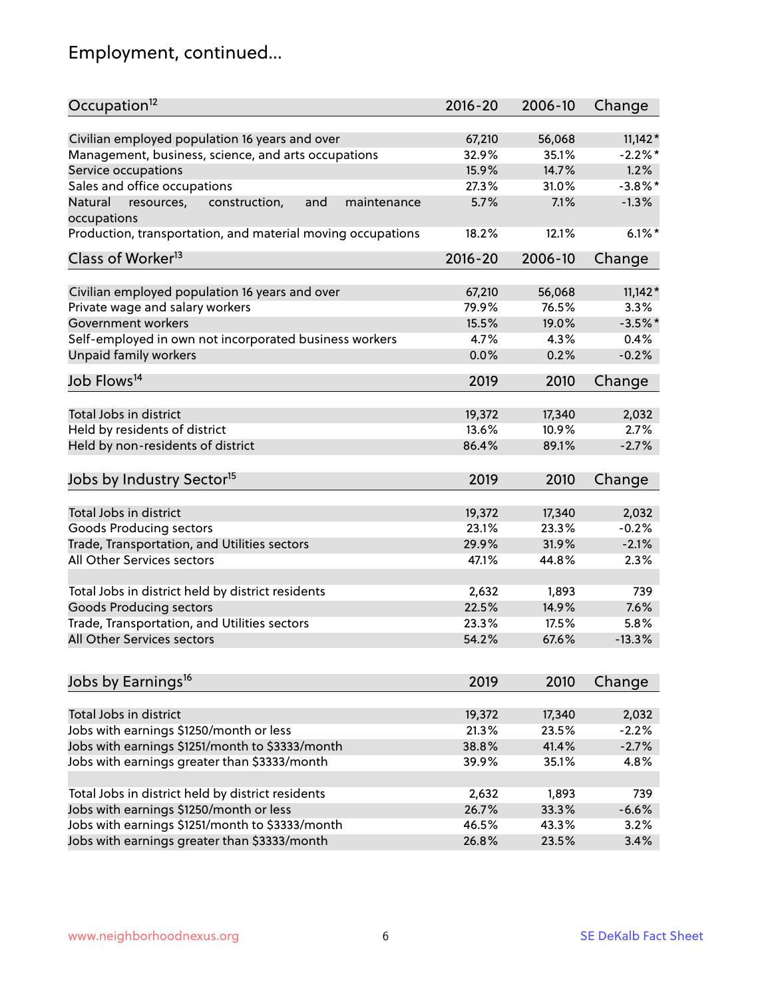# Employment, continued...

| Occupation <sup>12</sup>                                                    | $2016 - 20$ | 2006-10 | Change     |
|-----------------------------------------------------------------------------|-------------|---------|------------|
| Civilian employed population 16 years and over                              | 67,210      | 56,068  | $11,142*$  |
| Management, business, science, and arts occupations                         | 32.9%       | 35.1%   | $-2.2\%$ * |
| Service occupations                                                         | 15.9%       | 14.7%   | 1.2%       |
| Sales and office occupations                                                | 27.3%       | 31.0%   | $-3.8\%$ * |
|                                                                             | 5.7%        | 7.1%    | $-1.3%$    |
| Natural<br>and<br>resources,<br>construction,<br>maintenance<br>occupations |             |         |            |
| Production, transportation, and material moving occupations                 | 18.2%       | 12.1%   | $6.1\%$ *  |
| Class of Worker <sup>13</sup>                                               | $2016 - 20$ | 2006-10 | Change     |
|                                                                             |             |         |            |
| Civilian employed population 16 years and over                              | 67,210      | 56,068  | $11,142*$  |
| Private wage and salary workers                                             | 79.9%       | 76.5%   | 3.3%       |
| Government workers                                                          | 15.5%       | 19.0%   | $-3.5%$ *  |
| Self-employed in own not incorporated business workers                      | 4.7%        | 4.3%    | 0.4%       |
| Unpaid family workers                                                       | 0.0%        | 0.2%    | $-0.2%$    |
| Job Flows <sup>14</sup>                                                     | 2019        | 2010    | Change     |
|                                                                             |             |         |            |
| Total Jobs in district                                                      | 19,372      | 17,340  | 2,032      |
| Held by residents of district                                               | 13.6%       | 10.9%   | 2.7%       |
| Held by non-residents of district                                           | 86.4%       | 89.1%   | $-2.7%$    |
| Jobs by Industry Sector <sup>15</sup>                                       | 2019        | 2010    | Change     |
|                                                                             |             |         |            |
| Total Jobs in district                                                      | 19,372      | 17,340  | 2,032      |
| Goods Producing sectors                                                     | 23.1%       | 23.3%   | $-0.2%$    |
| Trade, Transportation, and Utilities sectors                                | 29.9%       | 31.9%   | $-2.1%$    |
| All Other Services sectors                                                  | 47.1%       | 44.8%   | 2.3%       |
|                                                                             |             |         |            |
| Total Jobs in district held by district residents                           | 2,632       | 1,893   | 739        |
| <b>Goods Producing sectors</b>                                              | 22.5%       | 14.9%   | 7.6%       |
| Trade, Transportation, and Utilities sectors                                | 23.3%       | 17.5%   | 5.8%       |
| All Other Services sectors                                                  | 54.2%       | 67.6%   | $-13.3%$   |
| Jobs by Earnings <sup>16</sup>                                              | 2019        | 2010    | Change     |
|                                                                             |             |         |            |
| Total Jobs in district                                                      | 19,372      | 17,340  | 2,032      |
| Jobs with earnings \$1250/month or less                                     | 21.3%       | 23.5%   | $-2.2%$    |
| Jobs with earnings \$1251/month to \$3333/month                             | 38.8%       | 41.4%   | $-2.7%$    |
| Jobs with earnings greater than \$3333/month                                | 39.9%       | 35.1%   | 4.8%       |
|                                                                             |             |         |            |
| Total Jobs in district held by district residents                           | 2,632       | 1,893   | 739        |
| Jobs with earnings \$1250/month or less                                     | 26.7%       | 33.3%   | $-6.6%$    |
| Jobs with earnings \$1251/month to \$3333/month                             | 46.5%       | 43.3%   | 3.2%       |
| Jobs with earnings greater than \$3333/month                                | 26.8%       | 23.5%   | 3.4%       |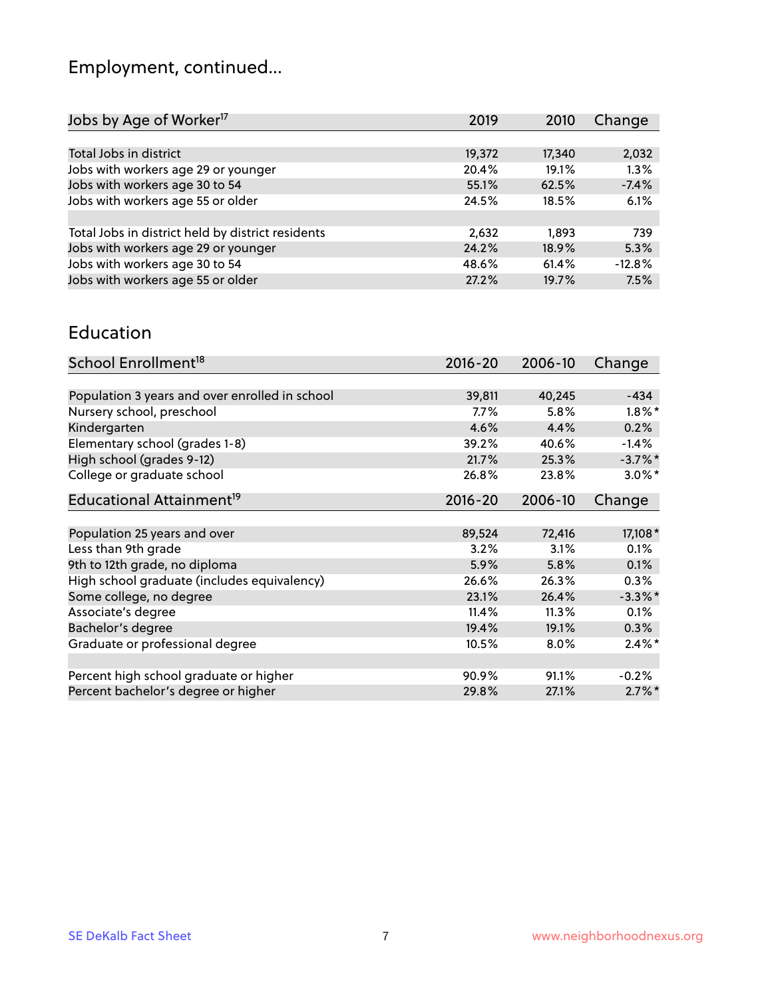# Employment, continued...

| Change<br>2010             | Jobs by Age of Worker <sup>17</sup><br>2019       |
|----------------------------|---------------------------------------------------|
|                            |                                                   |
| 19,372<br>17,340<br>2,032  | Total Jobs in district                            |
| 20.4%<br>19.1%             | Jobs with workers age 29 or younger               |
| $-7.4%$<br>62.5%<br>55.1%  | Jobs with workers age 30 to 54                    |
| 6.1%<br>24.5%<br>18.5%     | Jobs with workers age 55 or older                 |
|                            |                                                   |
| 2,632<br>1.893             | Total Jobs in district held by district residents |
| 5.3%<br>24.2%<br>18.9%     | Jobs with workers age 29 or younger               |
| $-12.8%$<br>48.6%<br>61.4% | Jobs with workers age 30 to 54                    |
| 7.5%<br>27.2%<br>19.7%     | Jobs with workers age 55 or older                 |
|                            |                                                   |

#### Education

| School Enrollment <sup>18</sup>                | $2016 - 20$ | 2006-10 | Change     |
|------------------------------------------------|-------------|---------|------------|
|                                                |             |         |            |
| Population 3 years and over enrolled in school | 39,811      | 40,245  | $-434$     |
| Nursery school, preschool                      | $7.7\%$     | 5.8%    | $1.8\%$ *  |
| Kindergarten                                   | 4.6%        | 4.4%    | 0.2%       |
| Elementary school (grades 1-8)                 | 39.2%       | 40.6%   | $-1.4%$    |
| High school (grades 9-12)                      | 21.7%       | 25.3%   | $-3.7%$ *  |
| College or graduate school                     | 26.8%       | 23.8%   | $3.0\%$ *  |
| Educational Attainment <sup>19</sup>           | $2016 - 20$ | 2006-10 | Change     |
|                                                |             |         |            |
| Population 25 years and over                   | 89,524      | 72,416  | 17,108*    |
| Less than 9th grade                            | 3.2%        | 3.1%    | 0.1%       |
| 9th to 12th grade, no diploma                  | 5.9%        | 5.8%    | 0.1%       |
| High school graduate (includes equivalency)    | 26.6%       | 26.3%   | 0.3%       |
| Some college, no degree                        | 23.1%       | 26.4%   | $-3.3\%$ * |
| Associate's degree                             | 11.4%       | 11.3%   | 0.1%       |
| Bachelor's degree                              | 19.4%       | 19.1%   | 0.3%       |
| Graduate or professional degree                | 10.5%       | 8.0%    | $2.4\%$ *  |
|                                                |             |         |            |
| Percent high school graduate or higher         | 90.9%       | 91.1%   | $-0.2%$    |
| Percent bachelor's degree or higher            | 29.8%       | 27.1%   | $2.7\%$ *  |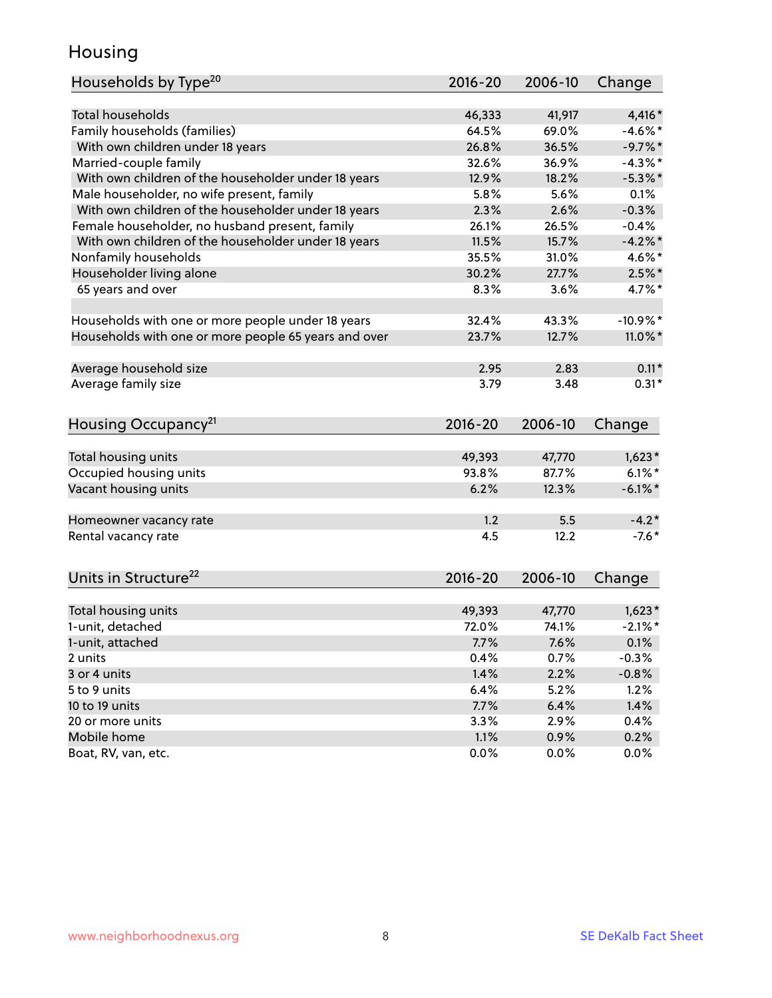## Housing

| Households by Type <sup>20</sup>                     | 2016-20 | 2006-10 | Change                 |
|------------------------------------------------------|---------|---------|------------------------|
|                                                      |         |         |                        |
| <b>Total households</b>                              | 46,333  | 41,917  | 4,416 *                |
| Family households (families)                         | 64.5%   | 69.0%   | $-4.6\%$ *             |
| With own children under 18 years                     | 26.8%   | 36.5%   | $-9.7%$ *              |
| Married-couple family                                | 32.6%   | 36.9%   | $-4.3\%$ *             |
| With own children of the householder under 18 years  | 12.9%   | 18.2%   | $-5.3\%$ *             |
| Male householder, no wife present, family            | 5.8%    | 5.6%    | 0.1%                   |
| With own children of the householder under 18 years  | 2.3%    | 2.6%    | $-0.3%$                |
| Female householder, no husband present, family       | 26.1%   | 26.5%   | $-0.4%$                |
| With own children of the householder under 18 years  | 11.5%   | 15.7%   | $-4.2%$                |
| Nonfamily households                                 | 35.5%   | 31.0%   | 4.6%*                  |
| Householder living alone                             | 30.2%   | 27.7%   | $2.5%$ *               |
| 65 years and over                                    | 8.3%    | 3.6%    | 4.7%*                  |
|                                                      |         |         |                        |
| Households with one or more people under 18 years    | 32.4%   | 43.3%   | $-10.9%$ *             |
| Households with one or more people 65 years and over | 23.7%   | 12.7%   | 11.0%*                 |
| Average household size                               | 2.95    | 2.83    | $0.11*$                |
| Average family size                                  | 3.79    | 3.48    | $0.31*$                |
| Housing Occupancy <sup>21</sup>                      | 2016-20 | 2006-10 | Change                 |
|                                                      |         |         |                        |
| Total housing units                                  | 49,393  | 47,770  | $1,623*$               |
| Occupied housing units                               | 93.8%   | 87.7%   | $6.1\%$ *              |
| Vacant housing units                                 | 6.2%    | 12.3%   | $-6.1\%$ *             |
| Homeowner vacancy rate                               | 1.2     | 5.5     | $-4.2*$                |
| Rental vacancy rate                                  | 4.5     | 12.2    | $-7.6*$                |
| Units in Structure <sup>22</sup>                     | 2016-20 | 2006-10 | Change                 |
|                                                      | 49,393  | 47,770  |                        |
| Total housing units<br>1-unit, detached              | 72.0%   | 74.1%   | $1,623*$<br>$-2.1\%$ * |
|                                                      |         |         |                        |
| 1-unit, attached                                     | 7.7%    | 7.6%    | 0.1%                   |
| 2 units                                              | 0.4%    | 0.7%    | $-0.3%$                |
| 3 or 4 units                                         | 1.4%    | 2.2%    | $-0.8%$                |
| 5 to 9 units                                         | 6.4%    | 5.2%    | 1.2%                   |
| 10 to 19 units                                       | 7.7%    | 6.4%    | 1.4%                   |
| 20 or more units                                     | 3.3%    | 2.9%    | 0.4%                   |
| Mobile home                                          | 1.1%    | 0.9%    | 0.2%                   |
| Boat, RV, van, etc.                                  | 0.0%    | 0.0%    | $0.0\%$                |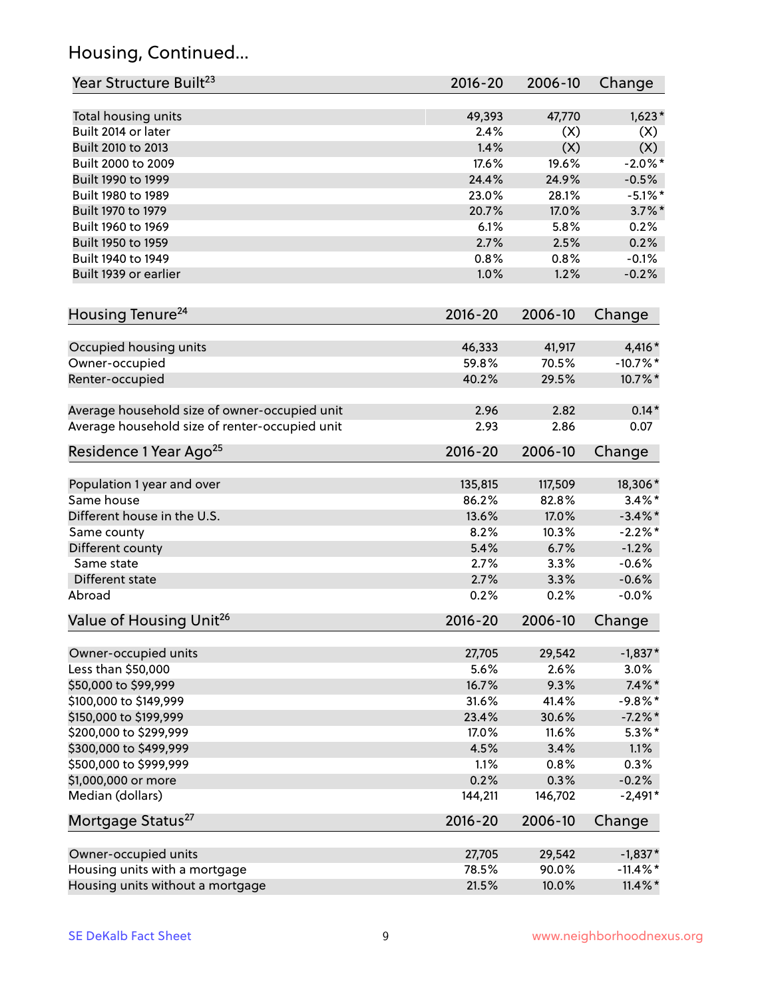## Housing, Continued...

| Year Structure Built <sup>23</sup>             | 2016-20     | 2006-10 | Change      |
|------------------------------------------------|-------------|---------|-------------|
| Total housing units                            | 49,393      | 47,770  | $1,623*$    |
| Built 2014 or later                            | 2.4%        | (X)     | (X)         |
| Built 2010 to 2013                             | 1.4%        | (X)     | (X)         |
| Built 2000 to 2009                             | 17.6%       | 19.6%   | $-2.0\%$ *  |
| Built 1990 to 1999                             | 24.4%       | 24.9%   | $-0.5%$     |
| Built 1980 to 1989                             | 23.0%       | 28.1%   | $-5.1\%$ *  |
| Built 1970 to 1979                             | 20.7%       | 17.0%   | $3.7\%$ *   |
| Built 1960 to 1969                             | 6.1%        | 5.8%    | 0.2%        |
| Built 1950 to 1959                             | 2.7%        | 2.5%    | 0.2%        |
| Built 1940 to 1949                             | 0.8%        | 0.8%    | $-0.1%$     |
| Built 1939 or earlier                          | 1.0%        | 1.2%    | $-0.2%$     |
| Housing Tenure <sup>24</sup>                   | $2016 - 20$ | 2006-10 | Change      |
| Occupied housing units                         | 46,333      | 41,917  | 4,416*      |
| Owner-occupied                                 | 59.8%       | 70.5%   | $-10.7\%$ * |
| Renter-occupied                                | 40.2%       | 29.5%   | 10.7%*      |
|                                                |             |         |             |
| Average household size of owner-occupied unit  | 2.96        | 2.82    | $0.14*$     |
| Average household size of renter-occupied unit | 2.93        | 2.86    | 0.07        |
| Residence 1 Year Ago <sup>25</sup>             | $2016 - 20$ | 2006-10 | Change      |
|                                                |             |         |             |
| Population 1 year and over                     | 135,815     | 117,509 | 18,306*     |
| Same house                                     | 86.2%       | 82.8%   | $3.4\%$ *   |
| Different house in the U.S.                    | 13.6%       | 17.0%   | $-3.4\%$ *  |
| Same county                                    | 8.2%        | 10.3%   | $-2.2%$ *   |
| Different county                               | 5.4%        | 6.7%    | $-1.2%$     |
| Same state                                     | 2.7%        | 3.3%    | $-0.6%$     |
| Different state                                | 2.7%        | 3.3%    | $-0.6%$     |
| Abroad                                         | 0.2%        | 0.2%    | $-0.0%$     |
| Value of Housing Unit <sup>26</sup>            | $2016 - 20$ | 2006-10 | Change      |
| Owner-occupied units                           | 27,705      | 29,542  | $-1,837*$   |
| Less than \$50,000                             | 5.6%        | 2.6%    | 3.0%        |
| \$50,000 to \$99,999                           | 16.7%       | 9.3%    | $7.4\%$ *   |
| \$100,000 to \$149,999                         | 31.6%       | 41.4%   | $-9.8\%$ *  |
| \$150,000 to \$199,999                         | 23.4%       | 30.6%   | $-7.2\%$ *  |
| \$200,000 to \$299,999                         | 17.0%       | 11.6%   | $5.3\%$ *   |
| \$300,000 to \$499,999                         | 4.5%        | 3.4%    | 1.1%        |
| \$500,000 to \$999,999                         | 1.1%        | 0.8%    | 0.3%        |
| \$1,000,000 or more                            | 0.2%        | 0.3%    | $-0.2%$     |
| Median (dollars)                               | 144,211     | 146,702 | $-2,491*$   |
| Mortgage Status <sup>27</sup>                  | $2016 - 20$ | 2006-10 | Change      |
| Owner-occupied units                           | 27,705      | 29,542  | $-1,837*$   |
| Housing units with a mortgage                  | 78.5%       | 90.0%   | $-11.4\%$ * |
| Housing units without a mortgage               | 21.5%       | 10.0%   | $11.4\%$ *  |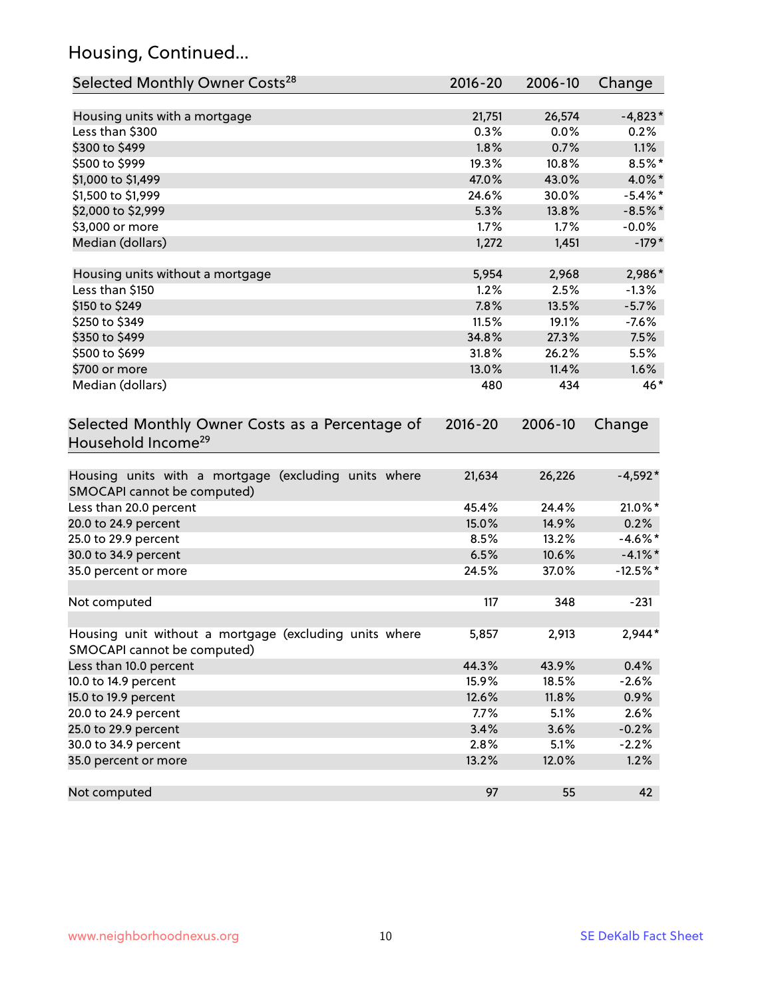## Housing, Continued...

| Selected Monthly Owner Costs <sup>28</sup>                                            | 2016-20     | 2006-10 | Change     |
|---------------------------------------------------------------------------------------|-------------|---------|------------|
| Housing units with a mortgage                                                         | 21,751      | 26,574  | $-4,823*$  |
| Less than \$300                                                                       | 0.3%        | 0.0%    | 0.2%       |
| \$300 to \$499                                                                        | 1.8%        | 0.7%    | 1.1%       |
| \$500 to \$999                                                                        | 19.3%       | 10.8%   | $8.5%$ *   |
| \$1,000 to \$1,499                                                                    | 47.0%       | 43.0%   | 4.0%*      |
| \$1,500 to \$1,999                                                                    | 24.6%       | 30.0%   | $-5.4\%$ * |
| \$2,000 to \$2,999                                                                    | 5.3%        | 13.8%   | $-8.5%$ *  |
| \$3,000 or more                                                                       | 1.7%        | 1.7%    | $-0.0\%$   |
| Median (dollars)                                                                      | 1,272       | 1,451   | $-179*$    |
| Housing units without a mortgage                                                      | 5,954       | 2,968   | 2,986*     |
| Less than \$150                                                                       | 1.2%        | 2.5%    | $-1.3%$    |
| \$150 to \$249                                                                        | 7.8%        | 13.5%   | $-5.7%$    |
| \$250 to \$349                                                                        | 11.5%       | 19.1%   | $-7.6%$    |
| \$350 to \$499                                                                        | 34.8%       | 27.3%   | 7.5%       |
| \$500 to \$699                                                                        | 31.8%       | 26.2%   | 5.5%       |
| \$700 or more                                                                         | 13.0%       | 11.4%   | 1.6%       |
| Median (dollars)                                                                      | 480         | 434     | 46*        |
| Selected Monthly Owner Costs as a Percentage of<br>Household Income <sup>29</sup>     | $2016 - 20$ | 2006-10 | Change     |
| Housing units with a mortgage (excluding units where<br>SMOCAPI cannot be computed)   | 21,634      | 26,226  | $-4,592*$  |
| Less than 20.0 percent                                                                | 45.4%       | 24.4%   | 21.0%*     |
| 20.0 to 24.9 percent                                                                  | 15.0%       | 14.9%   | 0.2%       |
| 25.0 to 29.9 percent                                                                  | 8.5%        | 13.2%   | $-4.6\%$ * |
| 30.0 to 34.9 percent                                                                  | 6.5%        | 10.6%   | $-4.1\%$ * |
| 35.0 percent or more                                                                  | 24.5%       | 37.0%   | $-12.5%$ * |
| Not computed                                                                          | 117         | 348     | $-231$     |
| Housing unit without a mortgage (excluding units where<br>SMOCAPI cannot be computed) | 5,857       | 2,913   | 2,944*     |
| Less than 10.0 percent                                                                | 44.3%       | 43.9%   | 0.4%       |
| 10.0 to 14.9 percent                                                                  | 15.9%       | 18.5%   | $-2.6%$    |
| 15.0 to 19.9 percent                                                                  | 12.6%       | 11.8%   | 0.9%       |
| 20.0 to 24.9 percent                                                                  | 7.7%        | 5.1%    | 2.6%       |
| 25.0 to 29.9 percent                                                                  | 3.4%        | 3.6%    | $-0.2%$    |
| 30.0 to 34.9 percent                                                                  | 2.8%        | 5.1%    | $-2.2%$    |
| 35.0 percent or more                                                                  | 13.2%       | 12.0%   | 1.2%       |
| Not computed                                                                          | 97          | 55      | 42         |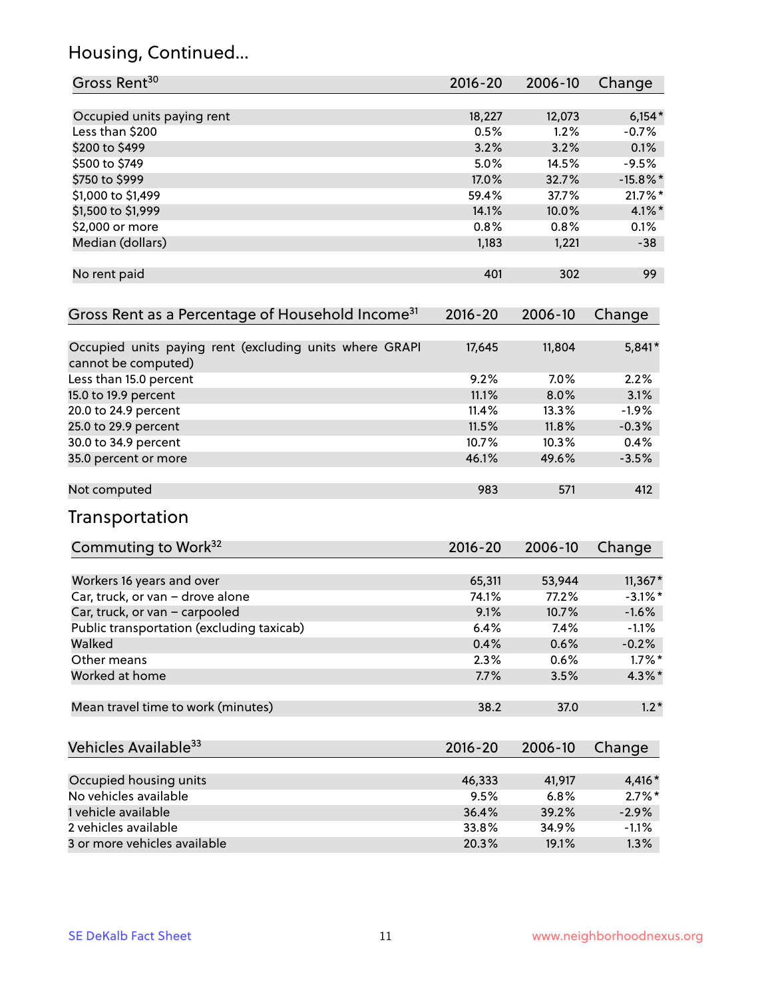## Housing, Continued...

| Gross Rent <sup>30</sup>                                                       | 2016-20     | 2006-10 | Change      |
|--------------------------------------------------------------------------------|-------------|---------|-------------|
| Occupied units paying rent                                                     | 18,227      | 12,073  | $6,154*$    |
| Less than \$200                                                                | 0.5%        | 1.2%    | $-0.7\%$    |
| \$200 to \$499                                                                 | 3.2%        | 3.2%    | 0.1%        |
| \$500 to \$749                                                                 | 5.0%        | 14.5%   | $-9.5%$     |
| \$750 to \$999                                                                 | 17.0%       | 32.7%   | $-15.8\%$ * |
| \$1,000 to \$1,499                                                             | 59.4%       | 37.7%   | $21.7\%$ *  |
| \$1,500 to \$1,999                                                             | 14.1%       | 10.0%   | $4.1\%$ *   |
| \$2,000 or more                                                                | 0.8%        | 0.8%    | 0.1%        |
| Median (dollars)                                                               | 1,183       | 1,221   | $-38$       |
| No rent paid                                                                   | 401         | 302     | 99          |
| Gross Rent as a Percentage of Household Income <sup>31</sup>                   | $2016 - 20$ | 2006-10 | Change      |
| Occupied units paying rent (excluding units where GRAPI<br>cannot be computed) | 17,645      | 11,804  | 5,841*      |
| Less than 15.0 percent                                                         | 9.2%        | 7.0%    | 2.2%        |
| 15.0 to 19.9 percent                                                           | 11.1%       | 8.0%    | 3.1%        |
| 20.0 to 24.9 percent                                                           | 11.4%       | 13.3%   | $-1.9%$     |
| 25.0 to 29.9 percent                                                           | 11.5%       | 11.8%   | $-0.3%$     |
| 30.0 to 34.9 percent                                                           | 10.7%       | 10.3%   | 0.4%        |
| 35.0 percent or more                                                           | 46.1%       | 49.6%   | $-3.5%$     |
| Not computed                                                                   | 983         | 571     | 412         |
| Transportation                                                                 |             |         |             |
| Commuting to Work <sup>32</sup>                                                | 2016-20     | 2006-10 | Change      |
| Workers 16 years and over                                                      | 65,311      | 53,944  | $11,367*$   |
| Car, truck, or van - drove alone                                               | 74.1%       | 77.2%   | $-3.1\%$ *  |
| Car, truck, or van - carpooled                                                 | 9.1%        | 10.7%   | $-1.6%$     |
| Public transportation (excluding taxicab)                                      | 6.4%        | 7.4%    | $-1.1%$     |
| Walked                                                                         | 0.4%        | 0.6%    | $-0.2%$     |
| Other means                                                                    | 2.3%        | 0.6%    | $1.7\%$ *   |
| Worked at home                                                                 | 7.7%        | 3.5%    | 4.3%*       |
| Mean travel time to work (minutes)                                             | 38.2        | 37.0    | $1.2*$      |
| Vehicles Available <sup>33</sup>                                               | 2016-20     | 2006-10 | Change      |
| Occupied housing units                                                         | 46,333      | 41,917  | 4,416*      |
| No vehicles available                                                          | 9.5%        | 6.8%    | $2.7\%$ *   |
| 1 vehicle available                                                            | 36.4%       | 39.2%   | $-2.9\%$    |
| 2 vehicles available                                                           | 33.8%       | 34.9%   | $-1.1%$     |
| 3 or more vehicles available                                                   | 20.3%       | 19.1%   | 1.3%        |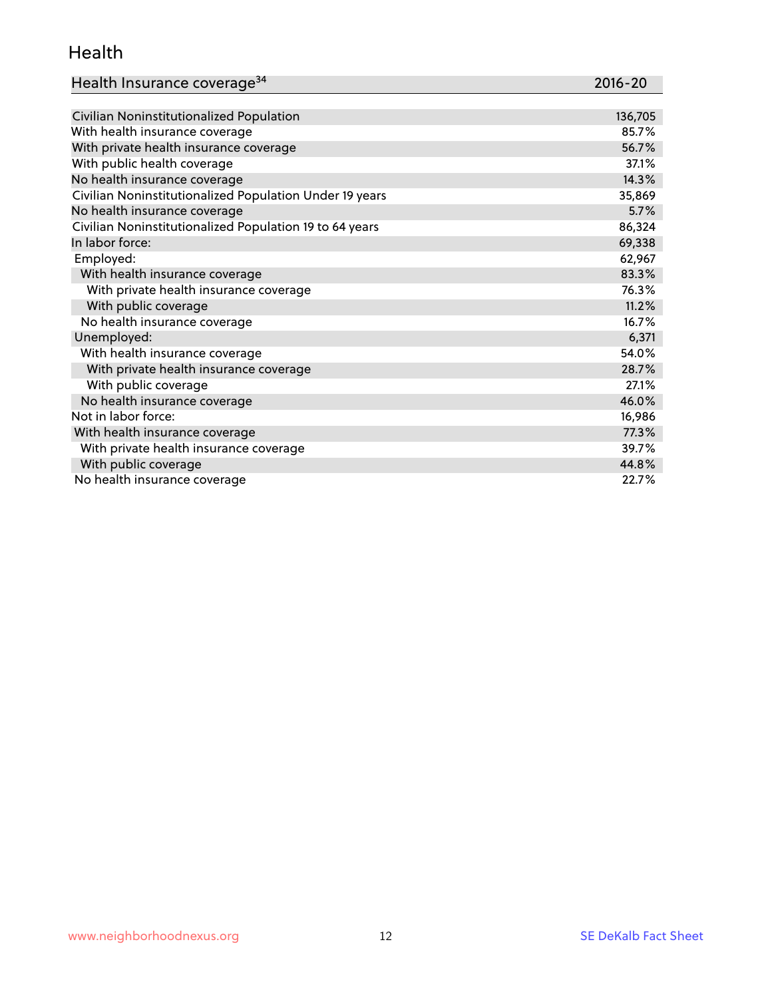#### Health

| Health Insurance coverage <sup>34</sup>  | 2016-20 |
|------------------------------------------|---------|
|                                          |         |
| Civilian Noninstitutionalized Population | 136,70  |

| Civilian Noninstitutionalized Population                | 136,705 |
|---------------------------------------------------------|---------|
| With health insurance coverage                          | 85.7%   |
| With private health insurance coverage                  | 56.7%   |
| With public health coverage                             | 37.1%   |
| No health insurance coverage                            | 14.3%   |
| Civilian Noninstitutionalized Population Under 19 years | 35,869  |
| No health insurance coverage                            | 5.7%    |
| Civilian Noninstitutionalized Population 19 to 64 years | 86,324  |
| In labor force:                                         | 69,338  |
| Employed:                                               | 62,967  |
| With health insurance coverage                          | 83.3%   |
| With private health insurance coverage                  | 76.3%   |
| With public coverage                                    | 11.2%   |
| No health insurance coverage                            | 16.7%   |
| Unemployed:                                             | 6,371   |
| With health insurance coverage                          | 54.0%   |
| With private health insurance coverage                  | 28.7%   |
| With public coverage                                    | 27.1%   |
| No health insurance coverage                            | 46.0%   |
| Not in labor force:                                     | 16,986  |
| With health insurance coverage                          | 77.3%   |
| With private health insurance coverage                  | 39.7%   |
| With public coverage                                    | 44.8%   |
| No health insurance coverage                            | 22.7%   |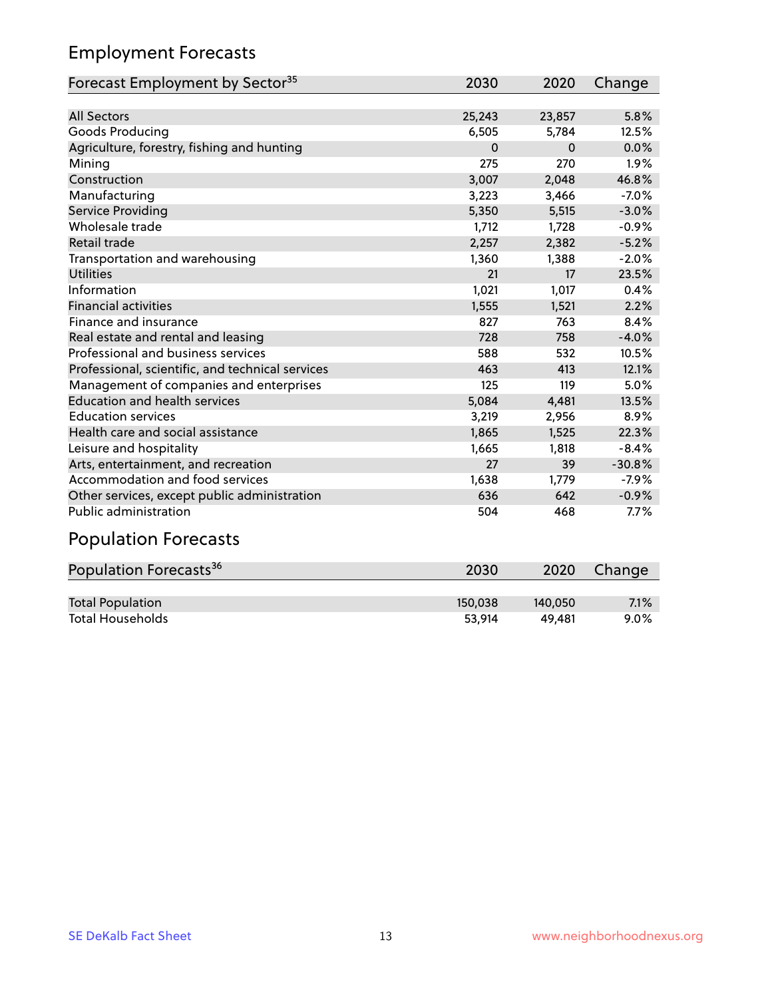## Employment Forecasts

| Forecast Employment by Sector <sup>35</sup>      | 2030        | 2020     | Change   |
|--------------------------------------------------|-------------|----------|----------|
|                                                  |             |          |          |
| <b>All Sectors</b>                               | 25,243      | 23,857   | 5.8%     |
| Goods Producing                                  | 6,505       | 5,784    | 12.5%    |
| Agriculture, forestry, fishing and hunting       | $\mathbf 0$ | $\Omega$ | 0.0%     |
| Mining                                           | 275         | 270      | 1.9%     |
| Construction                                     | 3,007       | 2,048    | 46.8%    |
| Manufacturing                                    | 3,223       | 3,466    | $-7.0%$  |
| <b>Service Providing</b>                         | 5,350       | 5,515    | $-3.0%$  |
| Wholesale trade                                  | 1,712       | 1,728    | $-0.9%$  |
| Retail trade                                     | 2,257       | 2,382    | $-5.2%$  |
| Transportation and warehousing                   | 1,360       | 1,388    | $-2.0%$  |
| <b>Utilities</b>                                 | 21          | 17       | 23.5%    |
| Information                                      | 1,021       | 1,017    | 0.4%     |
| <b>Financial activities</b>                      | 1,555       | 1,521    | 2.2%     |
| Finance and insurance                            | 827         | 763      | 8.4%     |
| Real estate and rental and leasing               | 728         | 758      | $-4.0%$  |
| Professional and business services               | 588         | 532      | 10.5%    |
| Professional, scientific, and technical services | 463         | 413      | 12.1%    |
| Management of companies and enterprises          | 125         | 119      | 5.0%     |
| <b>Education and health services</b>             | 5,084       | 4,481    | 13.5%    |
| <b>Education services</b>                        | 3,219       | 2,956    | 8.9%     |
| Health care and social assistance                | 1,865       | 1,525    | 22.3%    |
| Leisure and hospitality                          | 1,665       | 1,818    | $-8.4%$  |
| Arts, entertainment, and recreation              | 27          | 39       | $-30.8%$ |
| Accommodation and food services                  | 1,638       | 1,779    | $-7.9%$  |
| Other services, except public administration     | 636         | 642      | $-0.9%$  |
| <b>Public administration</b>                     | 504         | 468      | 7.7%     |
| <b>Population Forecasts</b>                      |             |          |          |

| Population Forecasts <sup>36</sup> | 2030    | 2020    | Change  |
|------------------------------------|---------|---------|---------|
|                                    |         |         |         |
| <b>Total Population</b>            | 150.038 | 140,050 | 7.1%    |
| <b>Total Households</b>            | 53.914  | 49.481  | $9.0\%$ |